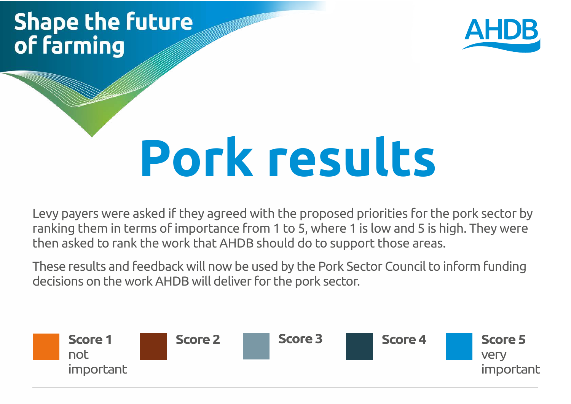# **Shape the future** of farming



# **Pork results**

Levy payers were asked if they agreed with the proposed priorities for the pork sector by ranking them in terms of importance from 1 to 5, where 1 is low and 5 is high. They were then asked to rank the work that AHDB should do to support those areas.

These results and feedback will now be used by the Pork Sector Council to inform funding decisions on the work AHDB will deliver for the pork sector.

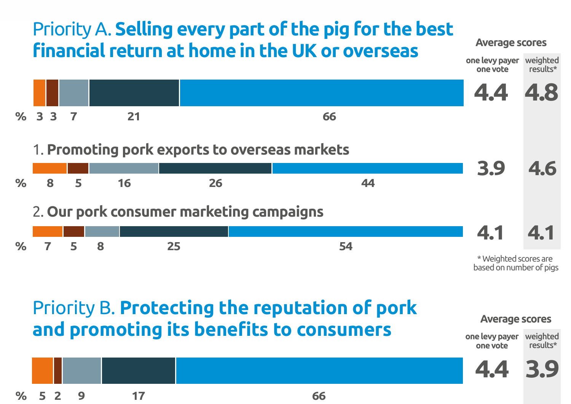#### Priority A. **Selling every part of the pig for the best financial return at home in the UK or overseas one levy payer**



based on number of pigs

weighted

**Average scores**

## Priority B. **Protecting the reputation of pork and promoting its benefits to consumers**



**one levy payer one vote** weighted results\*

**4.4 3.9**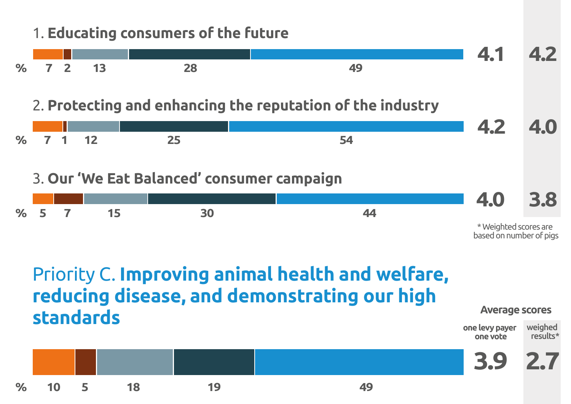### 1. **Educating consumers of the future**

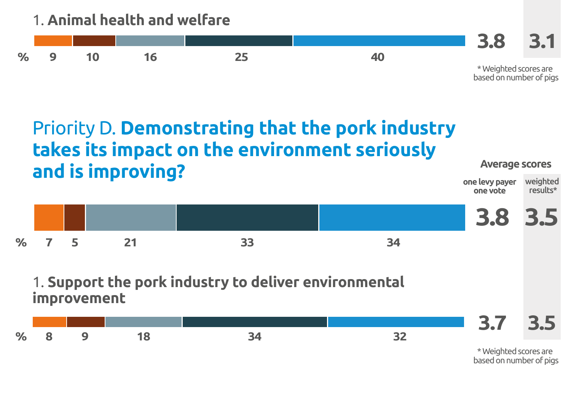1. **Animal health and welfare**



#### **one levy payer Average scores** Priority D. **Demonstrating that the pork industry takes its impact on the environment seriously and is improving?**



**one vote**

weighted results\*

#### 1. **Support the pork industry to deliver environmental improvement**